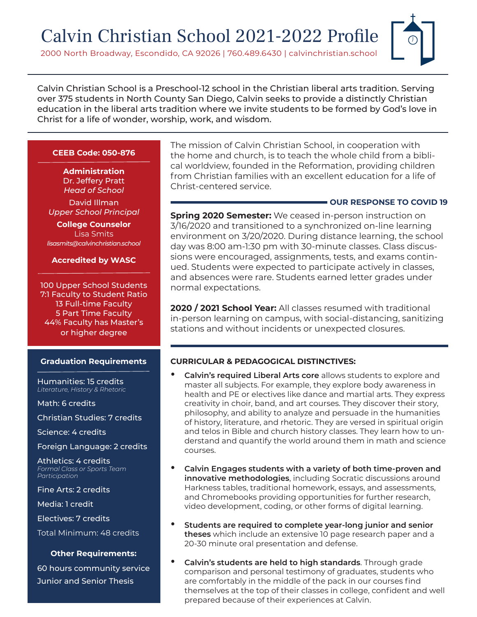# Calvin Christian School 2021-2022 Profile

2000 North Broadway, Escondido, CA 92026 | 760.489.6430 | calvinchristian.school

Calvin Christian School is a Preschool-12 school in the Christian liberal arts tradition. Serving over 375 students in North County San Diego, Calvin seeks to provide a distinctly Christian education in the liberal arts tradition where we invite students to be formed by God's love in Christ for a life of wonder, worship, work, and wisdom.

## **CEEB Code: 050-876**

**Administration** Dr. Jeffery Pratt *Head of School*

David Illman *Upper School Principal*

**College Counselor** Lisa Smits *lisasmits@calvinchristian.school*

#### **Accredited by WASC**

100 Upper School Students 7:1 Faculty to Student Ratio 13 Full-time Faculty 5 Part Time Faculty 44% Faculty has Master's or higher degree

#### **Graduation Requirements**

Humanities: 15 credits *Literature, History & Rhetoric*

Math: 6 credits

Christian Studies: 7 credits

Science: 4 credits

Foreign Language: 2 credits

Athletics: 4 credits *Formal Class or Sports Team Participation*

Fine Arts: 2 credits

Media: 1 credit

Electives: 7 credits

Total Minimum: 48 credits

#### **Other Requirements:**

60 hours community service Junior and Senior Thesis

The mission of Calvin Christian School, in cooperation with the home and church, is to teach the whole child from a biblical worldview, founded in the Reformation, providing children from Christian families with an excellent education for a life of Christ-centered service.

#### **OUR RESPONSE TO COVID 19**

**Spring 2020 Semester:** We ceased in-person instruction on 3/16/2020 and transitioned to a synchronized on-line learning environment on 3/20/2020. During distance learning, the school day was 8:00 am-1:30 pm with 30-minute classes. Class discussions were encouraged, assignments, tests, and exams continued. Students were expected to participate actively in classes, and absences were rare. Students earned letter grades under normal expectations.

**2020 / 2021 School Year:** All classes resumed with traditional in-person learning on campus, with social-distancing, sanitizing stations and without incidents or unexpected closures.

## **CURRICULAR & PEDAGOGICAL DISTINCTIVES:**

- **• Calvin's required Liberal Arts core** allows students to explore and master all subjects. For example, they explore body awareness in health and PE or electives like dance and martial arts. They express creativity in choir, band, and art courses. They discover their story, philosophy, and ability to analyze and persuade in the humanities of history, literature, and rhetoric. They are versed in spiritual origin and telos in Bible and church history classes. They learn how to understand and quantify the world around them in math and science courses.
- **• Calvin Engages students with a variety of both time-proven and innovative methodologies**, including Socratic discussions around Harkness tables, traditional homework, essays, and assessments, and Chromebooks providing opportunities for further research, video development, coding, or other forms of digital learning.
- **• Students are required to complete year-long junior and senior theses** which include an extensive 10 page research paper and a 20-30 minute oral presentation and defense.
- **• Calvin's students are held to high standards**. Through grade comparison and personal testimony of graduates, students who are comfortably in the middle of the pack in our courses find themselves at the top of their classes in college, confident and well prepared because of their experiences at Calvin.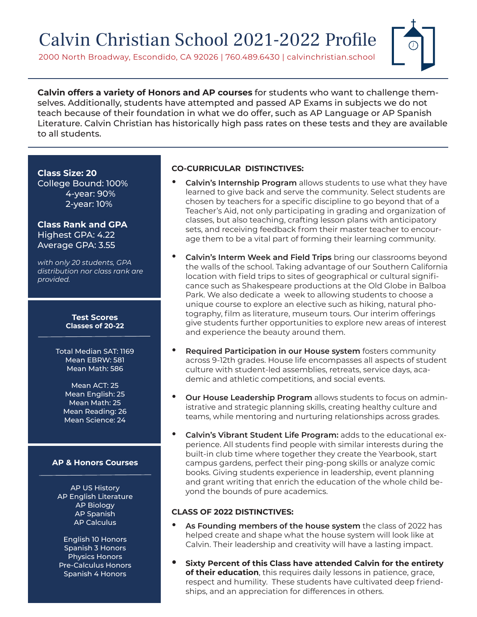# Calvin Christian School 2021-2022 Profile

2000 North Broadway, Escondido, CA 92026 | 760.489.6430 | calvinchristian.school



**Calvin offers a variety of Honors and AP courses** for students who want to challenge themselves. Additionally, students have attempted and passed AP Exams in subjects we do not teach because of their foundation in what we do offer, such as AP Language or AP Spanish Literature. Calvin Christian has historically high pass rates on these tests and they are available to all students.

#### **Class Size: 20**

College Bound: 100% 4-year: 90% 2-year: 10%

## **Class Rank and GPA** Highest GPA: 4.22 Average GPA: 3.55

*with only 20 students, GPA distribution nor class rank are provided.*

> **Test Scores Classes of 20-22**

Total Median SAT: 1169 Mean EBRW: 581 Mean Math: 586

Mean ACT: 25 Mean English: 25 Mean Math: 25 Mean Reading: 26 Mean Science: 24

#### **AP & Honors Courses**

AP US History AP English Literature AP Biology AP Spanish AP Calculus

English 10 Honors Spanish 3 Honors Physics Honors Pre-Calculus Honors Spanish 4 Honors

## **CO-CURRICULAR DISTINCTIVES:**

- **• Calvin's Internship Program** allows students to use what they have learned to give back and serve the community. Select students are chosen by teachers for a specific discipline to go beyond that of a Teacher's Aid, not only participating in grading and organization of classes, but also teaching, crafting lesson plans with anticipatory sets, and receiving feedback from their master teacher to encourage them to be a vital part of forming their learning community.
- **• Calvin's Interm Week and Field Trips** bring our classrooms beyond the walls of the school. Taking advantage of our Southern California location with field trips to sites of geographical or cultural significance such as Shakespeare productions at the Old Globe in Balboa Park. We also dedicate a week to allowing students to choose a unique course to explore an elective such as hiking, natural photography, film as literature, museum tours. Our interim offerings give students further opportunities to explore new areas of interest and experience the beauty around them.
- **• Required Participation in our House system** fosters community across 9-12th grades. House life encompasses all aspects of student culture with student-led assemblies, retreats, service days, academic and athletic competitions, and social events.
- **• Our House Leadership Program** allows students to focus on administrative and strategic planning skills, creating healthy culture and teams, while mentoring and nurturing relationships across grades.
- **• Calvin's Vibrant Student Life Program:** adds to the educational experience. All students find people with similar interests during the built-in club time where together they create the Yearbook, start campus gardens, perfect their ping-pong skills or analyze comic books. Giving students experience in leadership, event planning and grant writing that enrich the education of the whole child beyond the bounds of pure academics.

## **CLASS OF 2022 DISTINCTIVES:**

- **• As Founding members of the house system** the class of 2022 has helped create and shape what the house system will look like at Calvin. Their leadership and creativity will have a lasting impact.
- **• Sixty Percent of this Class have attended Calvin for the entirety of their education**, this requires daily lessons in patience, grace, respect and humility. These students have cultivated deep friendships, and an appreciation for differences in others.